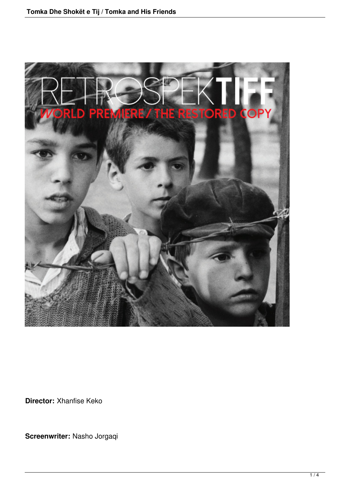

**Director:** Xhanfise Keko

**Screenwriter:** Nasho Jorgaqi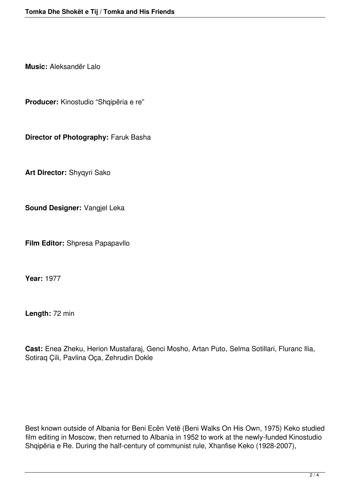**Music:** Aleksandër Lalo

**Producer:** Kinostudio "Shqipëria e re"

**Director of Photography:** Faruk Basha

**Art Director:** Shyqyri Sako

**Sound Designer:** Vangjel Leka

**Film Editor:** Shpresa Papapavllo

**Year:** 1977

**Length:** 72 min

**Cast:** Enea Zheku, Herion Mustafaraj, Genci Mosho, Artan Puto, Selma Sotillari, Fluranc Ilia, Sotiraq Çili, Pavlina Oça, Zehrudin Dokle

Best known outside of Albania for Beni Ecën Vetë (Beni Walks On His Own, 1975) Keko studied film editing in Moscow, then returned to Albania in 1952 to work at the newly-funded Kinostudio Shqipëria e Re. During the half-century of communist rule, Xhanfise Keko (1928-2007),